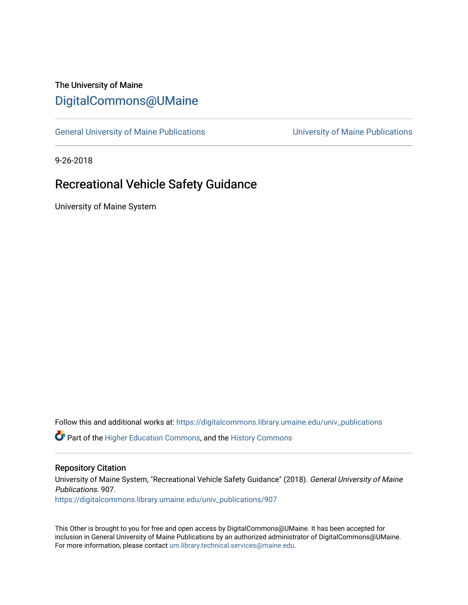## The University of Maine [DigitalCommons@UMaine](https://digitalcommons.library.umaine.edu/)

[General University of Maine Publications](https://digitalcommons.library.umaine.edu/univ_publications) [University of Maine Publications](https://digitalcommons.library.umaine.edu/umaine_publications) 

9-26-2018

# Recreational Vehicle Safety Guidance

University of Maine System

Follow this and additional works at: [https://digitalcommons.library.umaine.edu/univ\\_publications](https://digitalcommons.library.umaine.edu/univ_publications?utm_source=digitalcommons.library.umaine.edu%2Funiv_publications%2F907&utm_medium=PDF&utm_campaign=PDFCoverPages) 

**C** Part of the [Higher Education Commons,](http://network.bepress.com/hgg/discipline/1245?utm_source=digitalcommons.library.umaine.edu%2Funiv_publications%2F907&utm_medium=PDF&utm_campaign=PDFCoverPages) and the [History Commons](http://network.bepress.com/hgg/discipline/489?utm_source=digitalcommons.library.umaine.edu%2Funiv_publications%2F907&utm_medium=PDF&utm_campaign=PDFCoverPages)

#### Repository Citation

University of Maine System, "Recreational Vehicle Safety Guidance" (2018). General University of Maine Publications. 907. [https://digitalcommons.library.umaine.edu/univ\\_publications/907](https://digitalcommons.library.umaine.edu/univ_publications/907?utm_source=digitalcommons.library.umaine.edu%2Funiv_publications%2F907&utm_medium=PDF&utm_campaign=PDFCoverPages) 

This Other is brought to you for free and open access by DigitalCommons@UMaine. It has been accepted for inclusion in General University of Maine Publications by an authorized administrator of DigitalCommons@UMaine. For more information, please contact [um.library.technical.services@maine.edu](mailto:um.library.technical.services@maine.edu).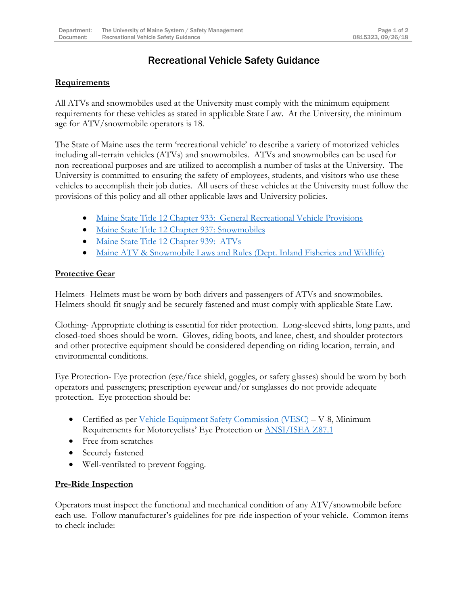### Recreational Vehicle Safety Guidance

#### **Requirements**

All ATVs and snowmobiles used at the University must comply with the minimum equipment requirements for these vehicles as stated in applicable State Law. At the University, the minimum age for ATV/snowmobile operators is 18.

The State of Maine uses the term 'recreational vehicle' to describe a variety of motorized vehicles including all-terrain vehicles (ATVs) and snowmobiles. ATVs and snowmobiles can be used for non-recreational purposes and are utilized to accomplish a number of tasks at the University. The University is committed to ensuring the safety of employees, students, and visitors who use these vehicles to accomplish their job duties. All users of these vehicles at the University must follow the provisions of this policy and all other applicable laws and University policies.

- [Maine State Title 12 Chapter 933: General Recreational Vehicle Provisions](https://mainelegislature.org/legis/statutes/12/title12ch933sec0.html)
- [Maine State Title 12 Chapter 937: Snowmobiles](https://mainelegislature.org/legis/statutes/12/title12ch937sec0.html)
- [Maine State Title 12 Chapter 939: ATVs](https://mainelegislature.org/legis/statutes/12/title12ch939sec0.html)
- [Maine ATV & Snowmobile Laws and Rules \(Dept. Inland Fisheries and Wildlife\)](https://www.maine.gov/ifw/atv-snowmobile/index.html)

### **Protective Gear**

Helmets- Helmets must be worn by both drivers and passengers of ATVs and snowmobiles. Helmets should fit snugly and be securely fastened and must comply with applicable State Law.

Clothing- Appropriate clothing is essential for rider protection. Long-sleeved shirts, long pants, and closed-toed shoes should be worn. Gloves, riding boots, and knee, chest, and shoulder protectors and other protective equipment should be considered depending on riding location, terrain, and environmental conditions.

Eye Protection- Eye protection (eye/face shield, goggles, or safety glasses) should be worn by both operators and passengers; prescription eyewear and/or sunglasses do not provide adequate protection. Eye protection should be:

- Certified as per *Vehicle Equipment Safety Commission (VESC)* V-8, Minimum Requirements for Motorcyclists' Eye Protection or [ANSI/ISEA](https://safetyequipment.org/isea-standards/ansiisea-z87-accredited-standards-committee/ansiisea-z87-1-2015-standard/) Z87.1
- Free from scratches
- Securely fastened
- Well-ventilated to prevent fogging.

### **Pre-Ride Inspection**

Operators must inspect the functional and mechanical condition of any ATV/snowmobile before each use. Follow manufacturer's guidelines for pre-ride inspection of your vehicle. Common items to check include: